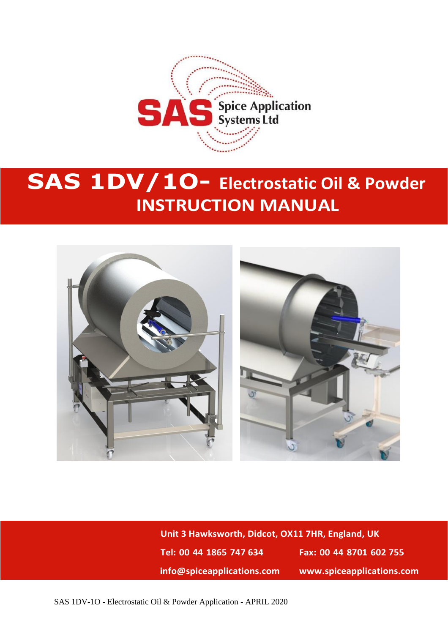

# **SAS 1DV/1O- Electrostatic Oil & Powder INSTRUCTION MANUAL**



**Unit 3 Hawksworth, Didcot, OX11 7HR, England, UK Tel: 00 44 1865 747 634 Fax: 00 44 8701 602 755 info@spiceapplications.com www.spiceapplications.com**

SAS 1DV-1O - Electrostatic Oil & Powder Application - APRIL 2020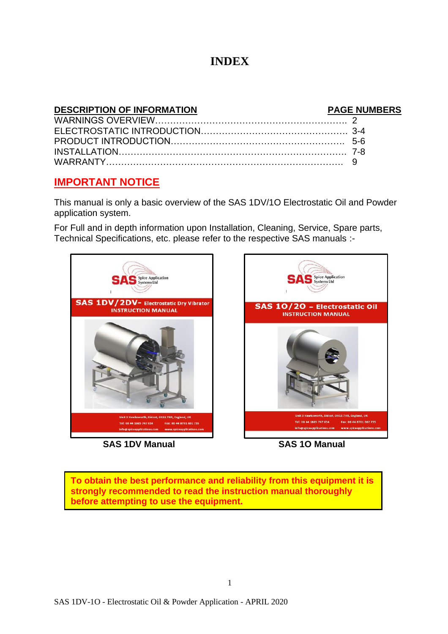### **INDEX**

#### **DESCRIPTION OF INFORMATION PAGE NUMBERS** WARNINGS OVERVIEW………………………………………………………. 2 ELECTROSTATIC INTRODUCTION…………………………………………. 3-4 PRODUCT INTRODUCTION…………………………………………………. 5-6 INSTALLATION…………………………………………………………………. 7-8 WARRANTY……………………………………………………………………. 9

### **IMPORTANT NOTICE**

This manual is only a basic overview of the SAS 1DV/1O Electrostatic Oil and Powder application system.

For Full and in depth information upon Installation, Cleaning, Service, Spare parts, Technical Specifications, etc. please refer to the respective SAS manuals :-



 **SAS 1DV Manual SAS 1O Manual**



**To obtain the best performance and reliability from this equipment it is strongly recommended to read the instruction manual thoroughly before attempting to use the equipment.**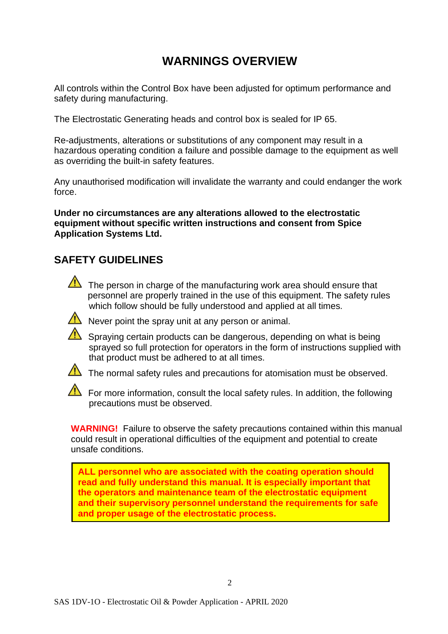# **WARNINGS OVERVIEW**

All controls within the Control Box have been adjusted for optimum performance and safety during manufacturing.

The Electrostatic Generating heads and control box is sealed for IP 65.

Re-adjustments, alterations or substitutions of any component may result in a hazardous operating condition a failure and possible damage to the equipment as well as overriding the built-in safety features.

Any unauthorised modification will invalidate the warranty and could endanger the work force.

**Under no circumstances are any alterations allowed to the electrostatic equipment without specific written instructions and consent from Spice Application Systems Ltd.**

### **SAFETY GUIDELINES**



The person in charge of the manufacturing work area should ensure that personnel are properly trained in the use of this equipment. The safety rules which follow should be fully understood and applied at all times.



 $\sqrt{\phantom{a}}$  Never point the spray unit at any person or animal.

 $\sqrt{\phantom{a}}$  Spraying certain products can be dangerous, depending on what is being sprayed so full protection for operators in the form of instructions supplied with that product must be adhered to at all times.



The normal safety rules and precautions for atomisation must be observed.

For more information, consult the local safety rules. In addition, the following precautions must be observed.

**WARNING!** Failure to observe the safety precautions contained within this manual could result in operational difficulties of the equipment and potential to create unsafe conditions.

**ALL personnel who are associated with the coating operation should read and fully understand this manual. It is especially important that the operators and maintenance team of the electrostatic equipment and their supervisory personnel understand the requirements for safe and proper usage of the electrostatic process.**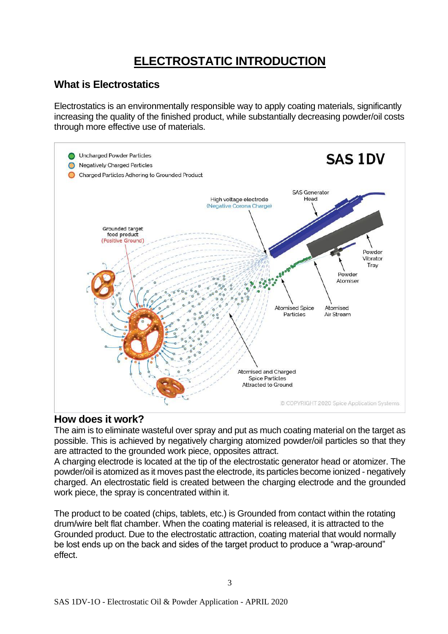# **ELECTROSTATIC INTRODUCTION**

### **What is Electrostatics**

Electrostatics is an environmentally responsible way to apply coating materials, significantly increasing the quality of the finished product, while substantially decreasing powder/oil costs through more effective use of materials.



### **How does it work?**

The aim is to eliminate wasteful over spray and put as much coating material on the target as possible. This is achieved by negatively charging atomized powder/oil particles so that they are attracted to the grounded work piece, opposites attract.

A charging electrode is located at the tip of the electrostatic generator head or atomizer. The powder/oil is atomized as it moves past the electrode, its particles become ionized - negatively charged. An electrostatic field is created between the charging electrode and the grounded work piece, the spray is concentrated within it.

The product to be coated (chips, tablets, etc.) is Grounded from contact within the rotating drum/wire belt flat chamber. When the coating material is released, it is attracted to the Grounded product. Due to the electrostatic attraction, coating material that would normally be lost ends up on the back and sides of the target product to produce a "wrap-around" effect.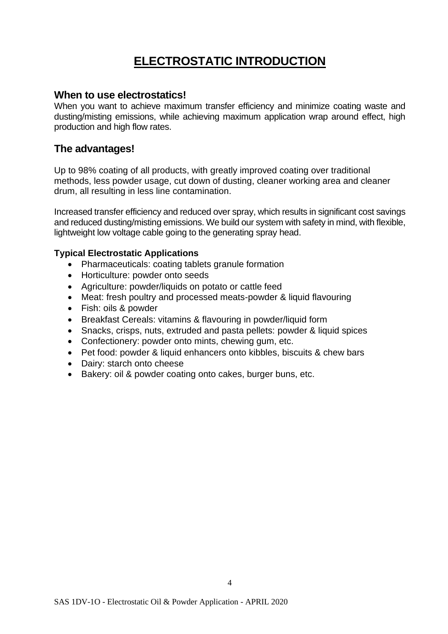# **ELECTROSTATIC INTRODUCTION**

#### **When to use electrostatics!**

When you want to achieve maximum transfer efficiency and minimize coating waste and dusting/misting emissions, while achieving maximum application wrap around effect, high production and high flow rates.

### **The advantages!**

Up to 98% coating of all products, with greatly improved coating over traditional methods, less powder usage, cut down of dusting, cleaner working area and cleaner drum, all resulting in less line contamination.

Increased transfer efficiency and reduced over spray, which results in significant cost savings and reduced dusting/misting emissions. We build our system with safety in mind, with flexible, lightweight low voltage cable going to the generating spray head.

#### **Typical Electrostatic Applications**

- Pharmaceuticals: coating tablets granule formation
- Horticulture: powder onto seeds
- Agriculture: powder/liquids on potato or cattle feed
- Meat: fresh poultry and processed meats-powder & liquid flavouring
- Fish: oils & powder
- Breakfast Cereals: vitamins & flavouring in powder/liquid form
- Snacks, crisps, nuts, extruded and pasta pellets: powder & liquid spices
- Confectionery: powder onto mints, chewing gum, etc.
- Pet food: powder & liquid enhancers onto kibbles, biscuits & chew bars
- Dairy: starch onto cheese
- Bakery: oil & powder coating onto cakes, burger buns, etc.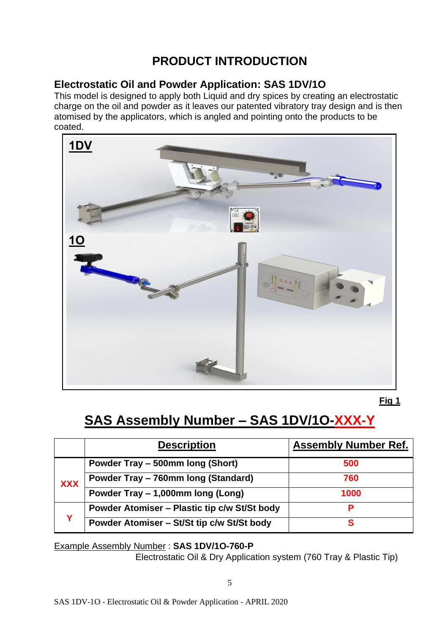# **PRODUCT INTRODUCTION**

### **Electrostatic Oil and Powder Application: SAS 1DV/1O**

This model is designed to apply both Liquid and dry spices by creating an electrostatic charge on the oil and powder as it leaves our patented vibratory tray design and is then atomised by the applicators, which is angled and pointing onto the products to be coated.



**Fig 1**

# **SAS Assembly Number – SAS 1DV/1O-XXX-Y**

|            | <b>Description</b>                                  | <b>Assembly Number Ref.</b> |
|------------|-----------------------------------------------------|-----------------------------|
|            | Powder Tray - 500mm long (Short)                    | 500                         |
| <b>XXX</b> | Powder Tray - 760mm long (Standard)                 | 760                         |
|            | Powder Tray - 1,000mm long (Long)                   | 1000                        |
| v          | <b>Powder Atomiser - Plastic tip c/w St/St body</b> |                             |
|            | Powder Atomiser - St/St tip c/w St/St body          |                             |

Example Assembly Number : **SAS 1DV/1O-760-P**

Electrostatic Oil & Dry Application system (760 Tray & Plastic Tip)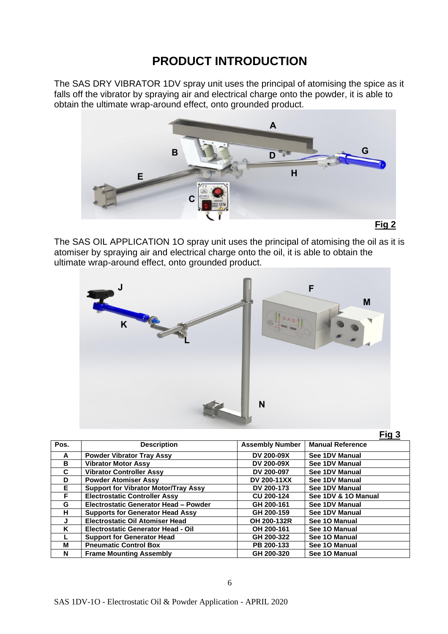## **PRODUCT INTRODUCTION**

The SAS DRY VIBRATOR 1DV spray unit uses the principal of atomising the spice as it falls off the vibrator by spraying air and electrical charge onto the powder, it is able to obtain the ultimate wrap-around effect, onto grounded product.



The SAS OIL APPLICATION 1O spray unit uses the principal of atomising the oil as it is atomiser by spraying air and electrical charge onto the oil, it is able to obtain the ultimate wrap-around effect, onto grounded product.



|--|

| Pos. | <b>Description</b>                          | <b>Assembly Number</b> | <b>Manual Reference</b> |
|------|---------------------------------------------|------------------------|-------------------------|
| A    | <b>Powder Vibrator Tray Assy</b>            | <b>DV 200-09X</b>      | See 1DV Manual          |
| B    | <b>Vibrator Motor Assy</b>                  | DV 200-09X             | See 1DV Manual          |
| C    | <b>Vibrator Controller Assy</b>             | DV 200-097             | See 1DV Manual          |
| D    | <b>Powder Atomiser Assy</b>                 | <b>DV 200-11XX</b>     | See 1DV Manual          |
| Е    | <b>Support for Vibrator Motor/Tray Assy</b> | DV 200-173             | See 1DV Manual          |
| F    | <b>Electrostatic Controller Assy</b>        | <b>CU 200-124</b>      | See 1DV & 10 Manual     |
| G    | Electrostatic Generator Head - Powder       | GH 200-161             | See 1DV Manual          |
| н    | <b>Supports for Generator Head Assy</b>     | GH 200-159             | See 1DV Manual          |
| J    | <b>Electrostatic Oil Atomiser Head</b>      | OH 200-132R            | See 10 Manual           |
| ĸ    | <b>Electrostatic Generator Head - Oil</b>   | OH 200-161             | See 10 Manual           |
|      | <b>Support for Generator Head</b>           | GH 200-322             | See 10 Manual           |
| м    | <b>Pneumatic Control Box</b>                | PB 200-133             | See 10 Manual           |
| N    | <b>Frame Mounting Assembly</b>              | GH 200-320             | See 10 Manual           |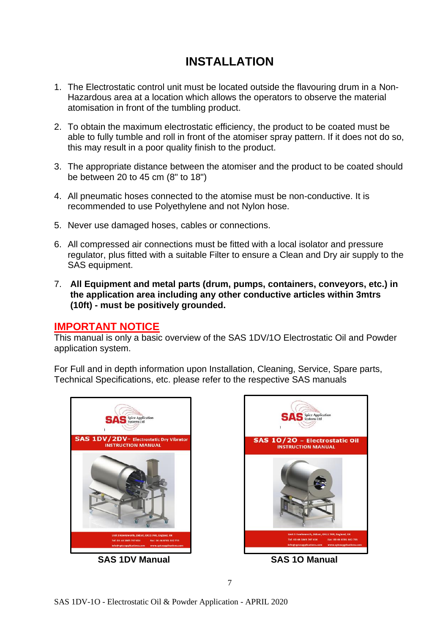# **INSTALLATION**

- 1. The Electrostatic control unit must be located outside the flavouring drum in a Non-Hazardous area at a location which allows the operators to observe the material atomisation in front of the tumbling product.
- 2. To obtain the maximum electrostatic efficiency, the product to be coated must be able to fully tumble and roll in front of the atomiser spray pattern. If it does not do so, this may result in a poor quality finish to the product.
- 3. The appropriate distance between the atomiser and the product to be coated should be between 20 to 45 cm (8" to 18")
- 4. All pneumatic hoses connected to the atomise must be non-conductive. It is recommended to use Polyethylene and not Nylon hose.
- 5. Never use damaged hoses, cables or connections.
- 6. All compressed air connections must be fitted with a local isolator and pressure regulator, plus fitted with a suitable Filter to ensure a Clean and Dry air supply to the SAS equipment.
- 7. **All Equipment and metal parts (drum, pumps, containers, conveyors, etc.) in the application area including any other conductive articles within 3mtrs (10ft) - must be positively grounded.**

#### **IMPORTANT NOTICE**

This manual is only a basic overview of the SAS 1DV/1O Electrostatic Oil and Powder application system.

For Full and in depth information upon Installation, Cleaning, Service, Spare parts, Technical Specifications, etc. please refer to the respective SAS manuals



 **SAS 1DV Manual SAS 1O Manual**

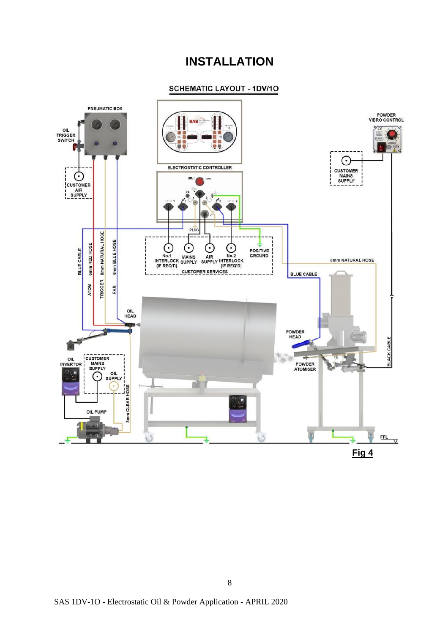### **INSTALLATION**

#### **SCHEMATIC LAYOUT - 1DV/10**

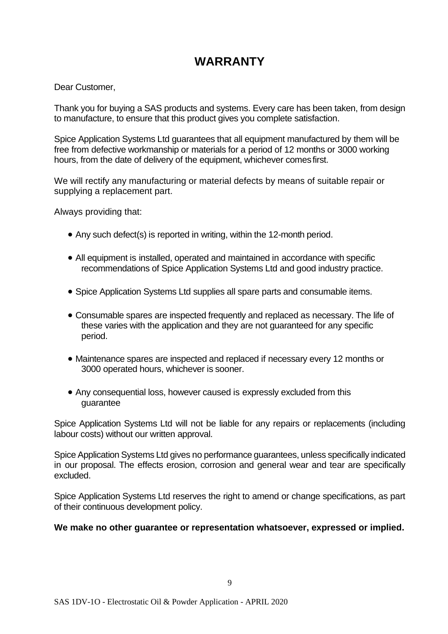# **WARRANTY**

Dear Customer,

Thank you for buying a SAS products and systems. Every care has been taken, from design to manufacture, to ensure that this product gives you complete satisfaction.

Spice Application Systems Ltd guarantees that all equipment manufactured by them will be free from defective workmanship or materials for a period of 12 months or 3000 working hours, from the date of delivery of the equipment, whichever comesfirst.

We will rectify any manufacturing or material defects by means of suitable repair or supplying a replacement part.

Always providing that:

- Any such defect(s) is reported in writing, within the 12-month period.
- All equipment is installed, operated and maintained in accordance with specific recommendations of Spice Application Systems Ltd and good industry practice.
- Spice Application Systems Ltd supplies all spare parts and consumable items.
- Consumable spares are inspected frequently and replaced as necessary. The life of these varies with the application and they are not guaranteed for any specific period.
- Maintenance spares are inspected and replaced if necessary every 12 months or 3000 operated hours, whichever is sooner.
- Any consequential loss, however caused is expressly excluded from this guarantee

Spice Application Systems Ltd will not be liable for any repairs or replacements (including labour costs) without our written approval.

Spice Application Systems Ltd gives no performance guarantees, unless specifically indicated in our proposal. The effects erosion, corrosion and general wear and tear are specifically excluded.

Spice Application Systems Ltd reserves the right to amend or change specifications, as part of their continuous development policy.

#### **We make no other guarantee or representation whatsoever, expressed or implied.**